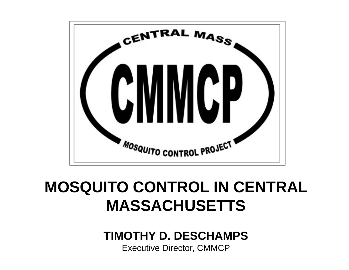

#### **MOSQUITO CONTROL IN CENTRAL MASSACHUSETTS**

#### **TIMOTHY D. DESCHAMPS**

Executive Director, CMMCP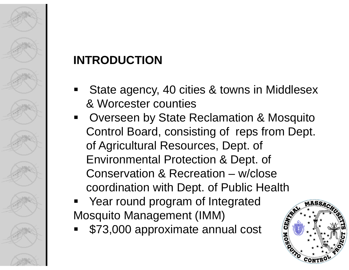# 

#### **INTRODUCTION**

- State agency, 40 cities & towns in Middlesex & Worcester counties
- Overseen by State Reclamation & Mosquito Control Board, consisting of reps from Dept. of Agricultural Resources, Dept. of Environmental Protection & Dept. of Conservation & Recreation – w/close coordination with Dept. of Public Health
- Year round program of Integrated Mosquito Management (IMM)
- \$73,000 approximate annual cost

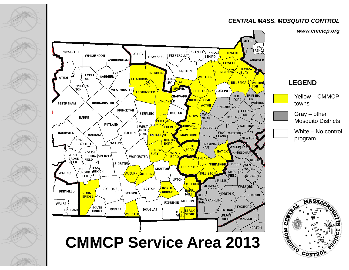#### *CENTRAL MASS. MOSQUITO CONTROL*

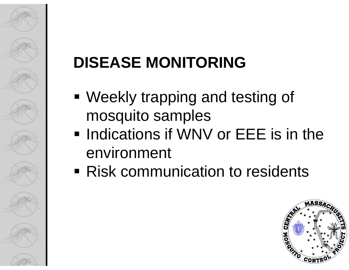# **DISEASE MONITORING**

- Weekly trapping and testing of mosquito samples
- **Indications if WNV or EEE is in the** environment
- **Risk communication to residents**

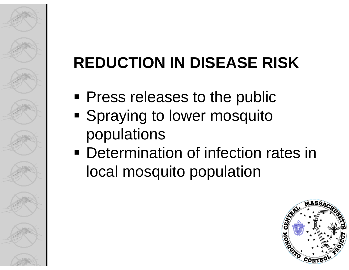# **REDUCTION IN DISEASE RISK**

- **Press releases to the public**
- **Spraying to lower mosquito** populations
- **Determination of infection rates in** local mosquito population

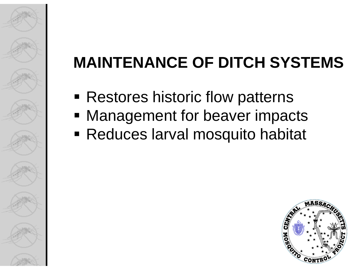# **MAINTENANCE OF DITCH SYSTEMS**

- **Restores historic flow patterns**
- **Management for beaver impacts**
- Reduces larval mosquito habitat

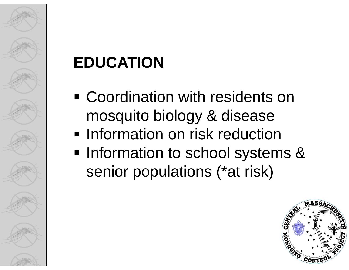# **EDUCATION**

- Coordination with residents on mosquito biology & disease
- **Information on risk reduction**
- **Information to school systems &** senior populations (\*at risk)

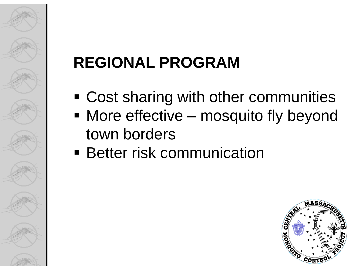# **REGIONAL PROGRAM**

- Cost sharing with other communities
- More effective mosquito fly beyond town borders
- **Better risk communication**

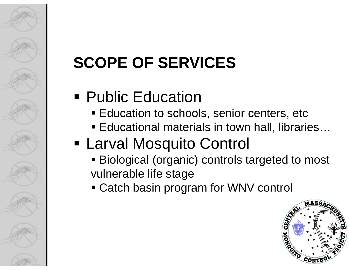### **• Public Education**

- Education to schools, senior centers, etc
- Educational materials in town hall, libraries...

#### Larval Mosquito Control

- Biological (organic) controls targeted to most vulnerable life stage
- Catch basin program for WNV control

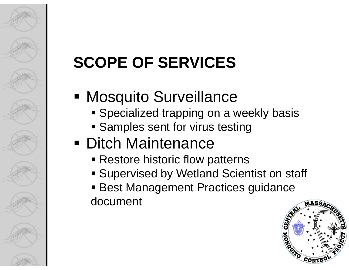#### **■ Mosquito Surveillance**

- **Specialized trapping on a weekly basis**
- **Samples sent for virus testing**

#### **• Ditch Maintenance**

- **Restore historic flow patterns**
- **Example Theory is Supervised by Wetland Scientist on staff**
- Best Management Practices guidance document

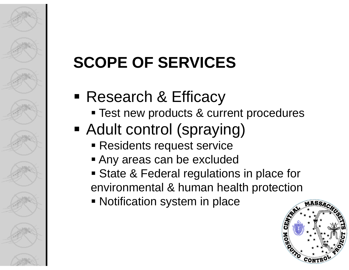- Research & Efficacy
	- **Test new products & current procedures**

# Adult control (spraying)

- Residents request service
- Any areas can be excluded
- **State & Federal regulations in place for** environmental & human health protection
- **Notification system in place**

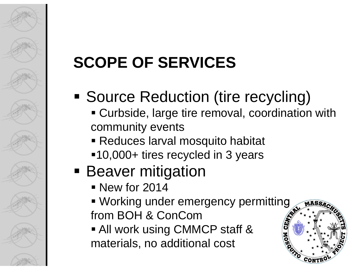# **Source Reduction (tire recycling)**

- Curbside, large tire removal, coordination with community events
- Reduces larval mosquito habitat
- ■10,000+ tires recycled in 3 years

### **Beaver mitigation**

- New for 2014
- Working under emergency permitting from BOH & ConCom
- All work using CMMCP staff & materials, no additional cost

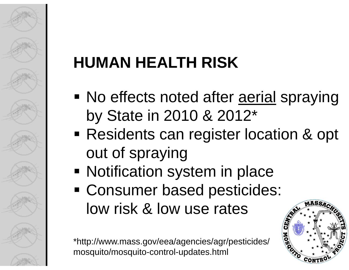# **HUMAN HEALTH RISK**

- No effects noted after aerial spraying by State in 2010 & 2012\*
- **Residents can register location & opt** out of spraying
- **Notification system in place**
- Consumer based pesticides: low risk & low use rates

\*http://www.mass.gov/eea/agencies/agr/pesticides/ mosquito/mosquito-control-updates.html

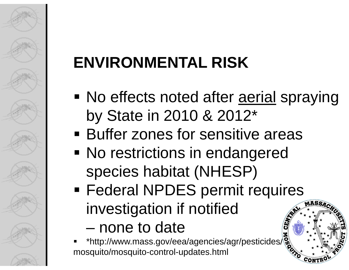# **ENVIRONMENTAL RISK**

No effects noted after aerial spraying by State in 2010 & 2012\*

ASS

- **Buffer zones for sensitive areas**
- **No restrictions in endangered** species habitat (NHESP)
- **Federal NPDES permit requires** investigation if notified
	- –none to date
- ٠ \*http://www.mass.gov/eea/agencies/agr/pesticides/ mosquito/mosquito-control-updates.html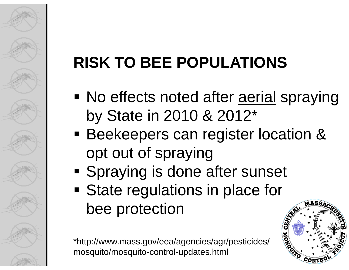# **RISK TO BEE POPULATIONS**

- No effects noted after aerial spraying by State in 2010 & 2012\*
- **Beekeepers can register location &** opt out of spraying
- **Spraying is done after sunset**
- **State regulations in place for** bee protection

\*http://www.mass.gov/eea/agencies/agr/pesticides/ mosquito/mosquito-control-updates.html

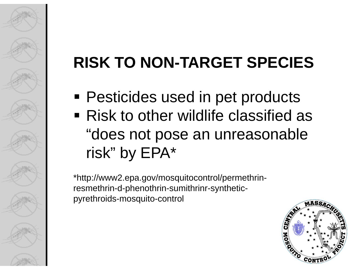# **RISK TO NON-TARGET SPECIES**

- **Pesticides used in pet products**
- Risk to other wildlife classified as "does not pose an unreasonable risk" by EPA\*

\*http://www2.epa.gov/mosquitocontrol/permethrinresmethrin-d-phenothrin-sumithrinr-syntheticpyrethroids-mosquito-control

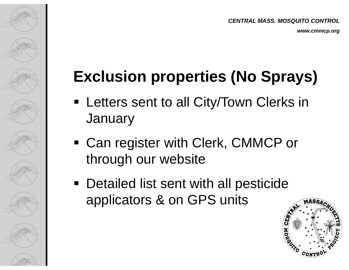*www.cmmcp.org*

## **Exclusion properties (No Sprays)**

- **EXTERGE 2018 12 THE EXAMPLE IN EXAMPLE 10 FEE CONCOCO EXAMPLE FUNCITY EXAMPLE ISL January**
- Can register with Clerk, CMMCP or through our website
- **Detailed list sent with all pesticide** applicators & on GPS units

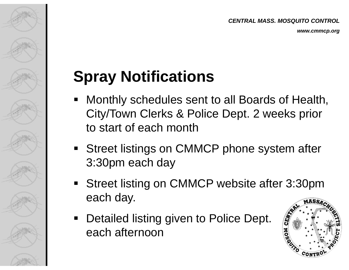#### **Spray Notifications**

- Monthly schedules sent to all Boards of Health, City/Town Clerks & Police Dept. 2 weeks prior to start of each month
- **Street listings on CMMCP phone system after** 3:30pm each day
- Street listing on CMMCP website after 3:30pm each day. **MASSA**
- $\blacksquare$  Detailed listing given to Police Dept. each afternoon

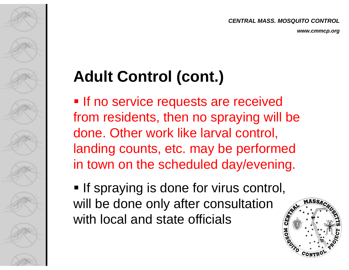*CENTRAL MASS. MOSQUITO CONTROL*

*www.cmmcp.org*

### **Adult Control (cont.)**

**If no service requests are received** from residents, then no spraying will be done. Other work like larval control, landing counts, etc. may be performed in town on the scheduled day/evening.

**If spraying is done for virus control,** will be done only after consultation with local and state officials